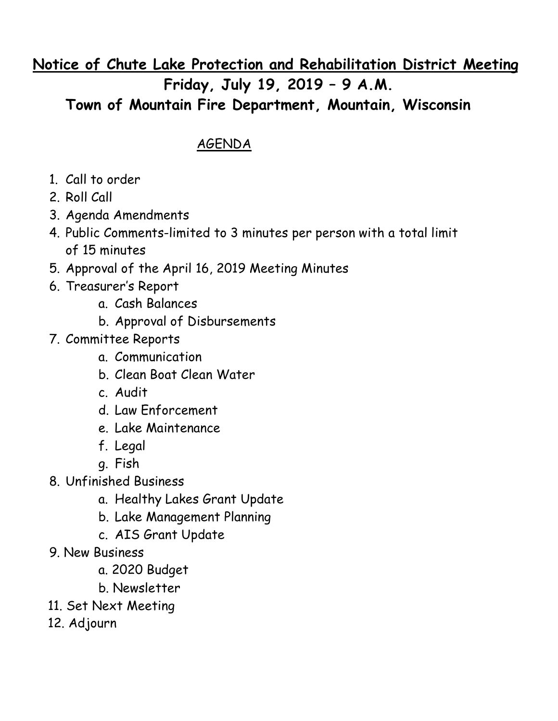## **Notice of Chute Lake Protection and Rehabilitation District Meeting Friday, July 19, 2019 – 9 A.M. Town of Mountain Fire Department, Mountain, Wisconsin**

## AGENDA

- 1. Call to order
- 2. Roll Call
- 3. Agenda Amendments
- 4. Public Comments-limited to 3 minutes per person with a total limit of 15 minutes
- 5. Approval of the April 16, 2019 Meeting Minutes
- 6. Treasurer's Report
	- a. Cash Balances
	- b. Approval of Disbursements
- 7. Committee Reports
	- a. Communication
	- b. Clean Boat Clean Water
	- c. Audit
	- d. Law Enforcement
	- e. Lake Maintenance
	- f. Legal
	- g. Fish
- 8. Unfinished Business
	- a. Healthy Lakes Grant Update
	- b. Lake Management Planning
	- c. AIS Grant Update
- 9. New Business
	- a. 2020 Budget
	- b. Newsletter
- 11. Set Next Meeting
- 12. Adjourn